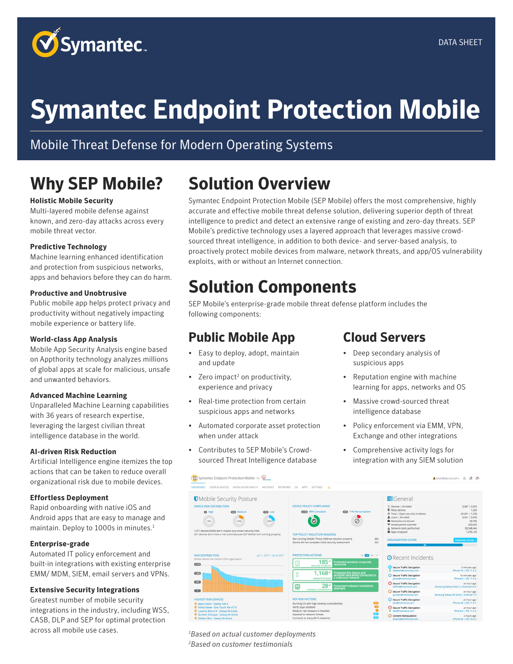

# **Symantec Endpoint Protection Mobile**

### Mobile Threat Defense for Modern Operating Systems

## **Why SEP Mobile?**

#### **Holistic Mobile Security**

Multi-layered mobile defense against known, and zero-day attacks across every mobile threat vector.

#### **Predictive Technology**

Machine learning enhanced identification and protection from suspicious networks, apps and behaviors before they can do harm.

#### **Productive and Unobtrusive**

Public mobile app helps protect privacy and productivity without negatively impacting mobile experience or battery life.

#### **World-class App Analysis**

Mobile App Security Analysis engine based on Appthority technology analyzes millions of global apps at scale for malicious, unsafe and unwanted behaviors.

#### **Advanced Machine Learning**

Unparalleled Machine Learning capabilities with 36 years of research expertise, leveraging the largest civilian threat intelligence database in the world.

#### **AI-driven Risk Reduction**

Artificial Intelligence engine itemizes the top actions that can be taken to reduce overall organizational risk due to mobile devices.

#### **Effortless Deployment**

Rapid onboarding with native iOS and Android apps that are easy to manage and maintain. Deploy to 1000s in minutes.<sup>1</sup>

#### **Enterprise-grade**

Automated IT policy enforcement and built-in integrations with existing enterprise EMM/ MDM, SIEM, email servers and VPNs.

#### **Extensive Security Integrations**

Greatest number of mobile security integrations in the industry, including WSS, CASB, DLP and SEP for optimal protection across all mobile use cases.

## **Solution Overview**

Symantec Endpoint Protection Mobile (SEP Mobile) offers the most comprehensive, highly accurate and effective mobile threat defense solution, delivering superior depth of threat intelligence to predict and detect an extensive range of existing and zero-day threats. SEP Mobile's predictive technology uses a layered approach that leverages massive crowdsourced threat intelligence, in addition to both device- and server-based analysis, to proactively protect mobile devices from malware, network threats, and app/OS vulnerability exploits, with or without an Internet connection.

## **Solution Components**

SEP Mobile's enterprise-grade mobile threat defense platform includes the following components:

#### **Public Mobile App**

- Easy to deploy, adopt, maintain and update
- Zero impact<sup>2</sup> on productivity, experience and privacy
- Real-time protection from certain suspicious apps and networks
- Automated corporate asset protection when under attack
- Contributes to SEP Mobile's Crowdsourced Threat Intelligence database

#### **Cloud Servers**

- Deep secondary analysis of suspicious apps
- Reputation engine with machine learning for apps, networks and OS
- Massive crowd-sourced threat intelligence database
- Policy enforcement via EMM, VPN, Exchange and other integrations
- Comprehensive activity logs for integration with any SIEM solution

| Symantec Endpoint Protection Mobile for $\circledcirc$<br>$^{\circ}$                                                                                              |                                                                                                                                                                                                      |                                                                                                                                                                                                                          | $\oslash$ $\oslash$<br>$\Box$<br>& brian@skycure.com -                                                    |
|-------------------------------------------------------------------------------------------------------------------------------------------------------------------|------------------------------------------------------------------------------------------------------------------------------------------------------------------------------------------------------|--------------------------------------------------------------------------------------------------------------------------------------------------------------------------------------------------------------------------|-----------------------------------------------------------------------------------------------------------|
| INSTALLATION HEALTH<br><b>INCIDENTS</b><br><b>DASHBOARD</b><br><b>USERS &amp; DEVICES</b>                                                                         | А<br>NETWORKS<br>OS<br>APPS<br><b>SETTINGS</b>                                                                                                                                                       |                                                                                                                                                                                                                          |                                                                                                           |
| <b>U</b> Mobile Security Posture                                                                                                                                  |                                                                                                                                                                                                      | $=$ General                                                                                                                                                                                                              |                                                                                                           |
| <b>DEVICE RISK DISTRIBUTION</b><br>@ High<br><b>653 Medium</b><br><b>639</b> Low<br>24%<br>0%<br>16%<br>1,917 devices (60%) don't impose any known security risks | DEVICE POLICY COMPLIANCE<br><b>City</b> 11% Noncompliant<br><b>CHID</b> 89% Compliant<br>Ø                                                                                                           | <b>Q</b> Devices   Enrolled<br><b>D</b> Risky devices<br>♦ Total   Open security incidents<br>& Users   Enrolled<br>Networks monitored<br>Access points scanned<br>Network tests performed<br><sup>4</sup> Apps analyzed | 3,587   3,455<br>1.263<br>45,601   1,028<br>3,451   3,049<br>29.782<br>200.045<br>30,548,444<br>1.235.163 |
| 407 devices don't have a risk score because SEP Mobile isn't running properly<br><b>RISK DISTRIBUTION</b><br>lul 11, 2017 - Oct 8, 2017                           | TOP POLICY VIOLATION REASONS<br>Not running Mobile Threat Defense solution properly<br>404<br>252<br>Device did not complete initial security assessment<br><b>PROTECTION ACTIONS</b><br>1W HM 3M 1Y | <b>ORGANIZATION SCORE</b><br>84                                                                                                                                                                                          | Improve score.                                                                                            |
| Mobile device risk trends in the organization<br>@                                                                                                                | 185 <sup>2</sup><br>Protected sensitive corporate<br>興<br>resources<br>security incidents                                                                                                            | <b>O</b> Recent Incidents<br>Secure Traffic Decryption<br>@ rebekah@momcorp.com                                                                                                                                          | 5 minutes ago<br>iPhone 5S   iOS 11.0.2                                                                   |
| 0.800                                                                                                                                                             | 1,168<br>Protected the device and<br>sensitive data while connected to<br>a malicious network<br>network threats                                                                                     | Secure Traffic Decryption<br>jamar@momcorp.com                                                                                                                                                                           | 16 minutes ago<br>IPhone 6   IOS 11.0.2                                                                   |
| (900)                                                                                                                                                             | 28~<br>M<br><b>Prevented malware installation</b><br>attempts<br>malware installations                                                                                                               | Secure Traffic Decryption<br>wilfred@momcorp.com                                                                                                                                                                         | an hour ago<br>Samsung Galaxy Note 3   Android 4.4.4                                                      |
| $\overline{\phantom{a}}$                                                                                                                                          |                                                                                                                                                                                                      | Secure Traffic Decryption<br>quinten@momcorp.com                                                                                                                                                                         | an hour ago<br>Samsung Galaxy S6 Active   Android 7.0                                                     |
| <b>HIGHEST RISK DEVICES</b><br>U Jesse Cassin - Galaxy Tab A                                                                                                      | <b>KEY RISK FACTORS</b><br>œ<br>Running OS with high severity vulnerabilities                                                                                                                        | Secure Traffic Decryption<br>karl@momcorp.com                                                                                                                                                                            | an hour ago<br>iPhone 6S   IOS 11.0.1                                                                     |
| T Hilma Howe - One Touch Pixi 47.0<br><b>U</b> Laverna Bosco IV - Galaxy S6 Active                                                                                | $\bullet$<br>Verify apps disabled<br>$\bullet$<br>Medium risk malware is installed                                                                                                                   | Secure Traffic Decryption<br><b>Ø</b> tess@momcorp.com                                                                                                                                                                   | an hour ago<br>iPhone 6   iOS 11.0.2                                                                      |
| U Quinten Schuppe - Galaxy S6 Active<br>D Delbert Bins - Galaxy S6 Active                                                                                         | Exposed to network threats<br>Connects to many Wi-Fi networks                                                                                                                                        | Content Manipulation<br>arianna@momrorn.com                                                                                                                                                                              | 2 hours ago<br>IPhone 65 LIOS 1032                                                                        |

*1 Based on actual customer deployments 2 Based on customer testimonials*